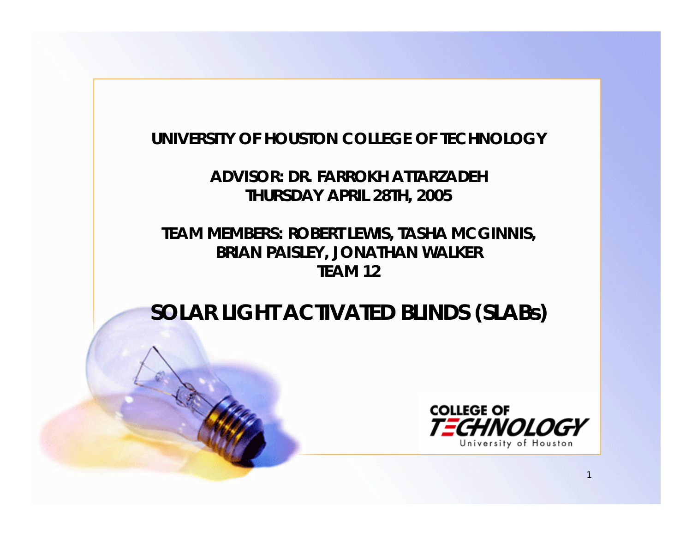### **UNIVERSITY OF HOUSTON COLLEGE OF TECHNOLOGY**

### **ADVISOR: DR. FARROKH ATTARZADEHTHURSDAY APRIL 28TH, 2005**

### **TEAM MEMBERS: ROBERT LEWIS, TASHA MCGINNIS, BRIAN PAISLEY, JONATHAN WALKER TEAM 12**

# **SOLAR LIGHT ACTIVATED BLINDS (SLABs)**

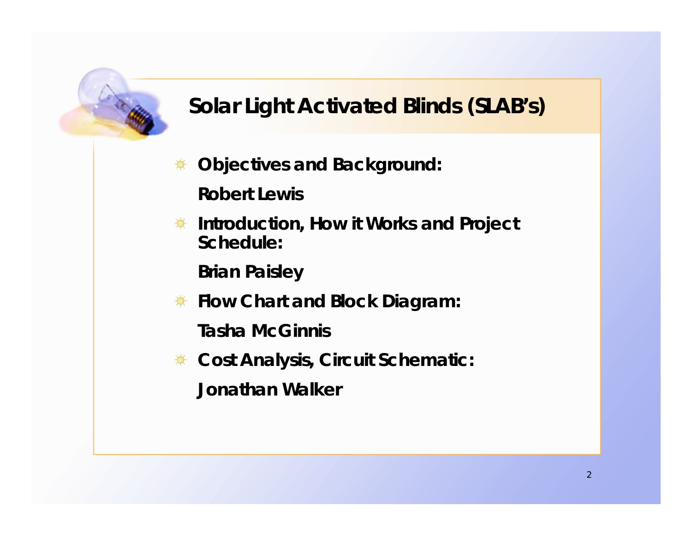# **Solar Light Activated Blinds (SLAB's)**

**Objectives and Background:**

**Robert Lewis**

**Introduction, How it Works and Project Schedule:**

**Brian Paisley**

**Flow Chart and Block Diagram:** 

**Tasha McGinnis**

**Cost Analysis, Circuit Schematic: Jonathan Walker**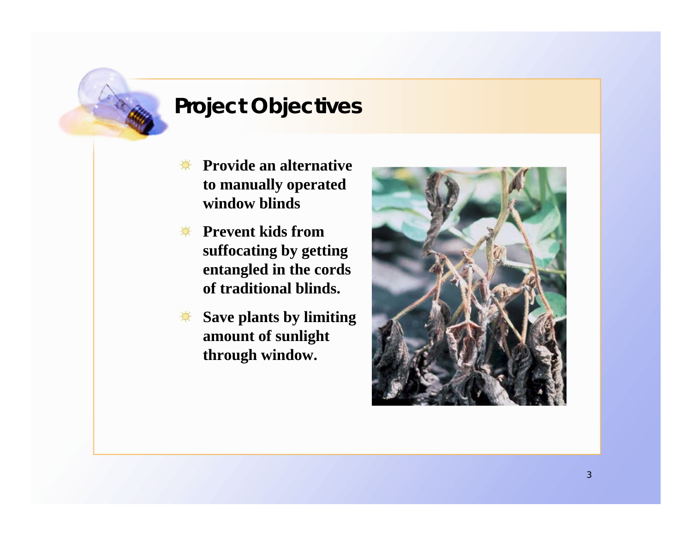# **Project Objectives**

- **Provide an alternative** 设 **to manually operated window blinds**
- **Prevent kids from** 义 **suffocating by getting entangled in the cords of traditional blinds.**
- **Save plants by limiting**   $\frac{1}{2}$ **amount of sunlight through window.**

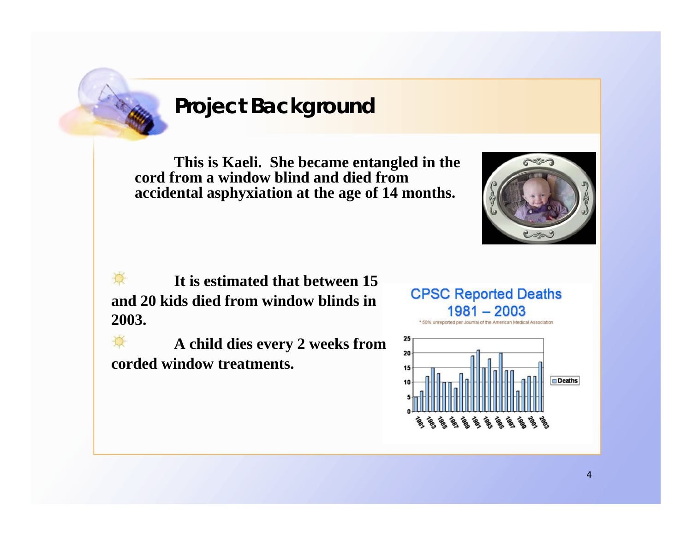# **Project Background**

**This is Kaeli. She became entangled in the cord from a window blind and died from accidental asphyxiation at the age of 14 months.**



设 **It is estimated that between 15 and 20 kids died from window blinds in 2003.**

\* **A child dies every 2 weeks from corded window treatments.**



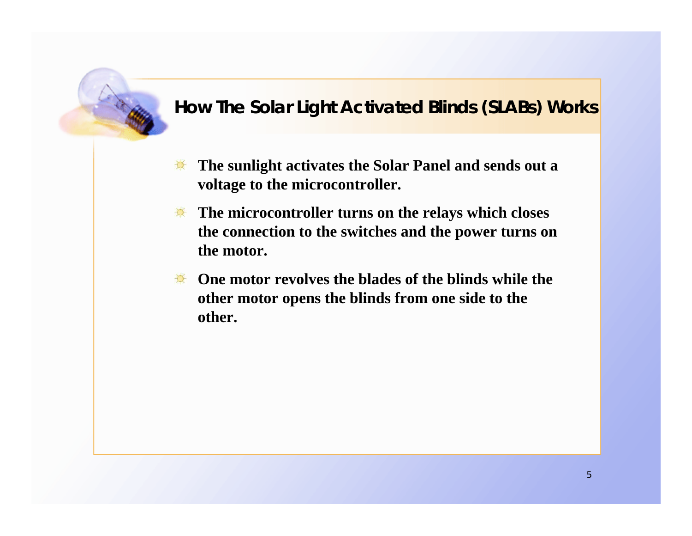## **How The Solar Light Activated Blinds (SLABs) Works**

- **The sunlight activates the Solar Panel and sends out a**  ₩ **voltage to the microcontroller.**
- **The microcontroller turns on the relays which closes the connection to the switches and the power turns on the motor.**
- **One motor revolves the blades of the blinds while the other motor opens the blinds from one side to the other.**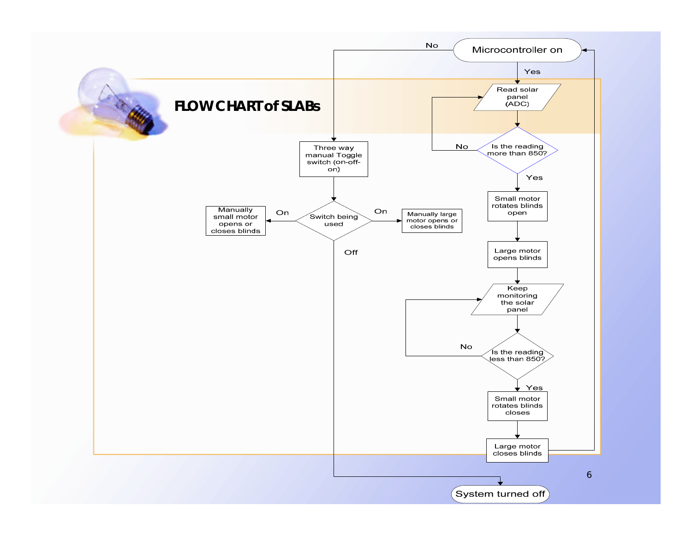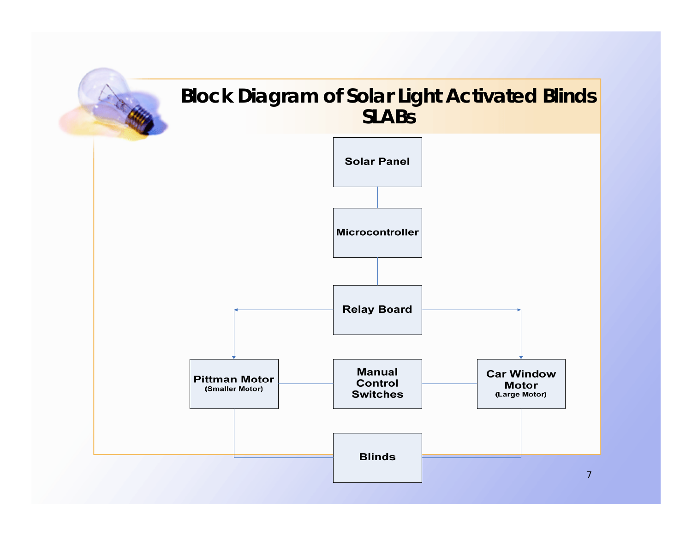# **Block Diagram of Solar Light Activated Blinds SLABsSolar Panel** Microcontroller **Relay Board Manual Car Window Pittman Motor** Control **Motor** (Smaller Motor) **Switches** (Large Motor) **Blinds** 7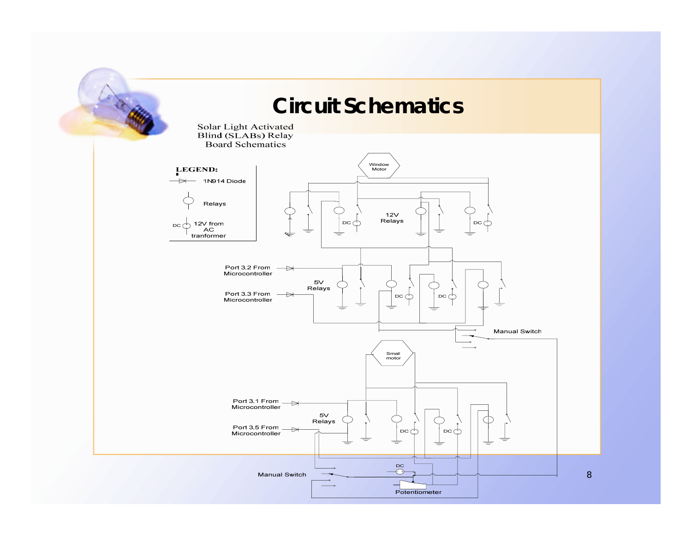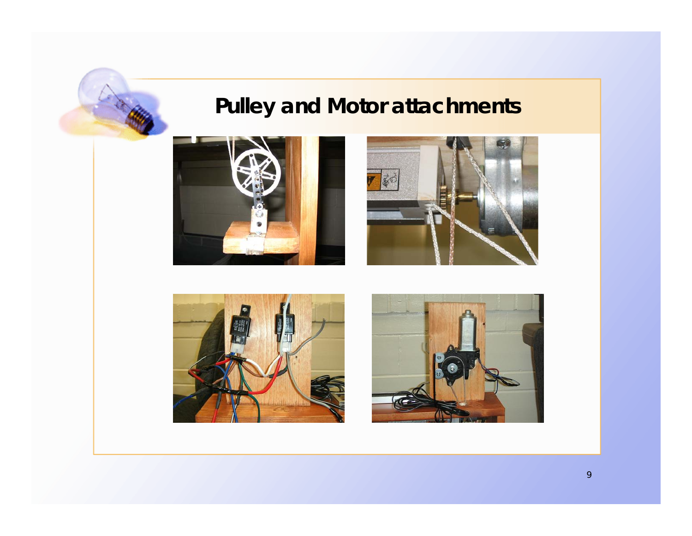# **Pulley and Motor attachments**







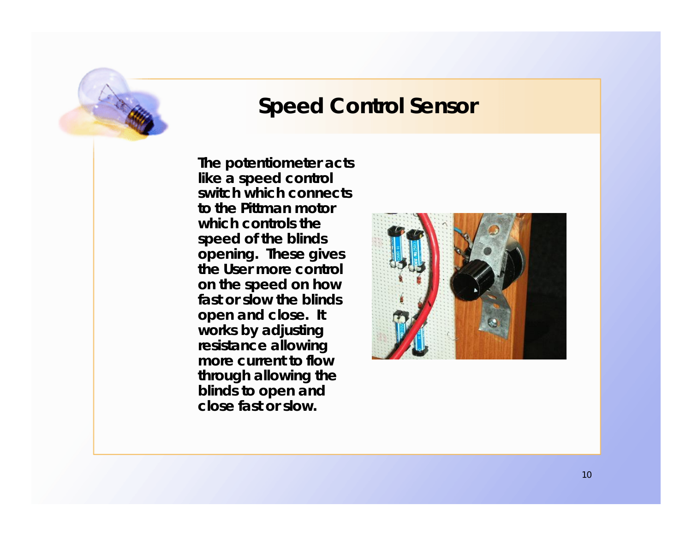

## **Speed Control Sensor**

**The potentiometer acts like a speed control switch which connects to the Pittman motor which controls the speed of the blinds opening. These gives the User more control on the speed on how fast or slow the blinds open and close. It works by adjusting resistance allowing more current to flow through allowing the blinds to open and close fast or slow.**

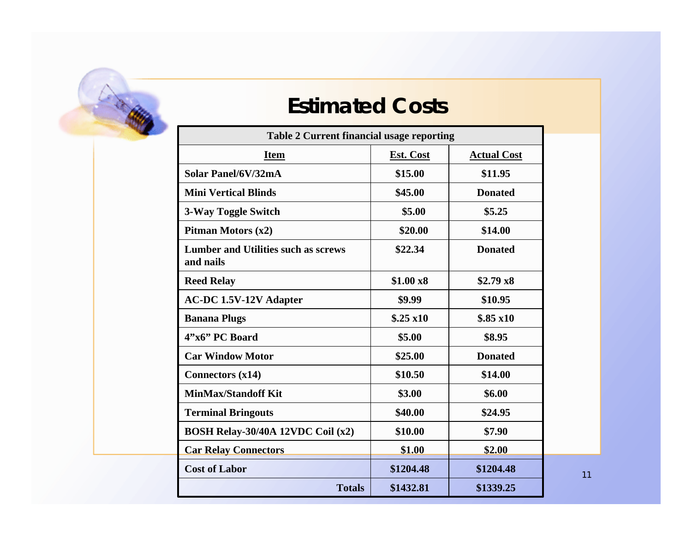

### **Estimated Costs**

| <b>Table 2 Current financial usage reporting</b>        |                  |                    |
|---------------------------------------------------------|------------------|--------------------|
| <b>Item</b>                                             | <b>Est. Cost</b> | <b>Actual Cost</b> |
| <b>Solar Panel/6V/32mA</b>                              | \$15.00          | \$11.95            |
| <b>Mini Vertical Blinds</b>                             | \$45.00          | <b>Donated</b>     |
| 3-Way Toggle Switch                                     | \$5.00           | \$5.25             |
| Pitman Motors (x2)                                      | \$20.00          | \$14.00            |
| <b>Lumber and Utilities such as screws</b><br>and nails | \$22.34          | <b>Donated</b>     |
| <b>Reed Relay</b>                                       | \$1.00 x8        | $$2.79 \times 8$   |
| <b>AC-DC 1.5V-12V Adapter</b>                           | \$9.99           | \$10.95            |
| <b>Banana Plugs</b>                                     | $$.25 \times 10$ | $$.85 \times 10$   |
| 4"x6" PC Board                                          | \$5.00           | \$8.95             |
| <b>Car Window Motor</b>                                 | \$25.00          | <b>Donated</b>     |
| Connectors $(x14)$                                      | \$10.50          | \$14.00            |
| <b>MinMax/Standoff Kit</b>                              | \$3.00           | \$6.00             |
| <b>Terminal Bringouts</b>                               | \$40.00          | \$24.95            |
| BOSH Relay-30/40A 12VDC Coil (x2)                       | \$10.00          | \$7.90             |
| <b>Car Relay Connectors</b>                             | \$1.00           | \$2.00             |
| <b>Cost of Labor</b>                                    | \$1204.48        | \$1204.48          |
| <b>Totals</b>                                           | \$1432.81        | \$1339.25          |

11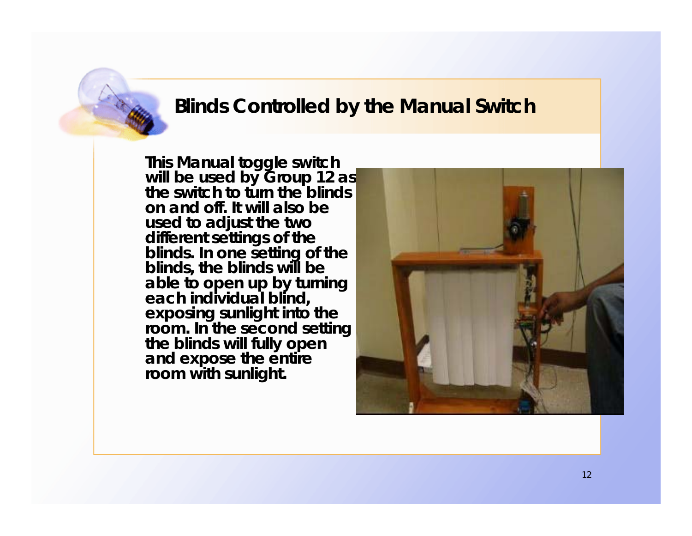## **Blinds Controlled by the Manual Switch**

**This Manual toggle switch will be used by Group 12 as the switch to turn the blinds on and off. It will also be used to adjust the two different settings of the blinds. In one setting of the blinds, the blinds will be able to open up by turning each individual blind, exposing sunlight into the room. In the second setting the blinds will fully open and expose the entire room with sunlight.** 

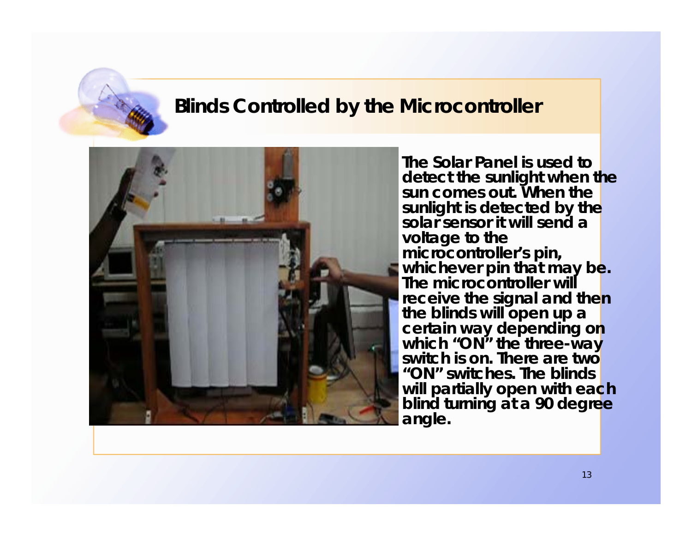### **Blinds Controlled by the Microcontroller**



**The Solar Panel is used to detect the sunlight when the sun comes out. When the sunlight is detected by the solar sensor it will send a voltage to the microcontroller's pin, whichever pin that may be. The microcontroller will receive the signal and then the blinds will open up a certain way depending on which "ON" the three-way**  switch is on. There are two **"ON" switches. The blinds will partially open with each blind turning at a 90 degree angle.**